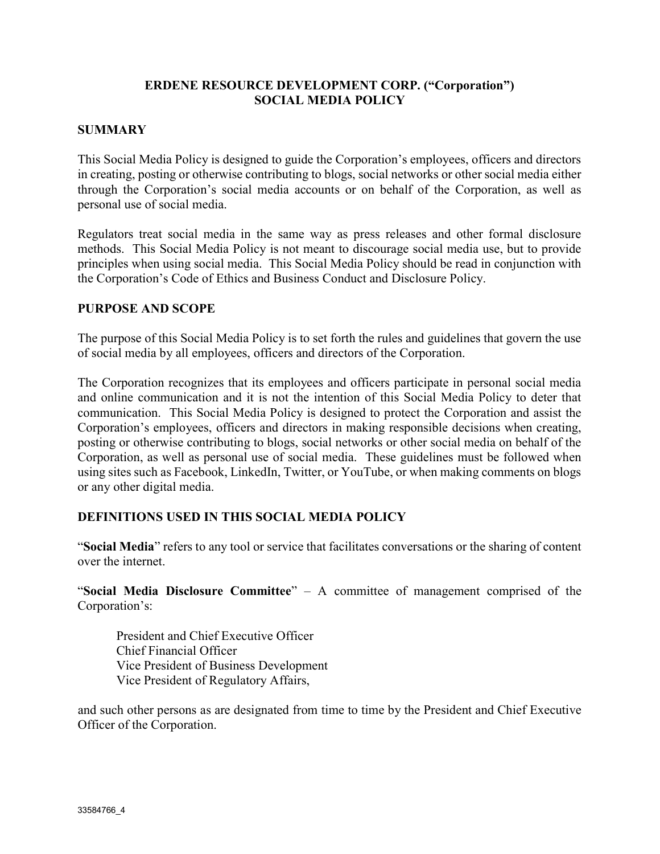## ERDENE RESOURCE DEVELOPMENT CORP. ("Corporation") SOCIAL MEDIA POLICY

## **SUMMARY**

This Social Media Policy is designed to guide the Corporation's employees, officers and directors in creating, posting or otherwise contributing to blogs, social networks or other social media either through the Corporation's social media accounts or on behalf of the Corporation, as well as personal use of social media.

Regulators treat social media in the same way as press releases and other formal disclosure methods. This Social Media Policy is not meant to discourage social media use, but to provide principles when using social media. This Social Media Policy should be read in conjunction with the Corporation's Code of Ethics and Business Conduct and Disclosure Policy.

#### PURPOSE AND SCOPE

The purpose of this Social Media Policy is to set forth the rules and guidelines that govern the use of social media by all employees, officers and directors of the Corporation.

The Corporation recognizes that its employees and officers participate in personal social media and online communication and it is not the intention of this Social Media Policy to deter that communication. This Social Media Policy is designed to protect the Corporation and assist the Corporation's employees, officers and directors in making responsible decisions when creating, posting or otherwise contributing to blogs, social networks or other social media on behalf of the Corporation, as well as personal use of social media. These guidelines must be followed when using sites such as Facebook, LinkedIn, Twitter, or YouTube, or when making comments on blogs or any other digital media.

#### DEFINITIONS USED IN THIS SOCIAL MEDIA POLICY

"Social Media" refers to any tool or service that facilitates conversations or the sharing of content over the internet.

"Social Media Disclosure Committee"  $-$  A committee of management comprised of the Corporation's:

President and Chief Executive Officer Chief Financial Officer Vice President of Business Development Vice President of Regulatory Affairs,

and such other persons as are designated from time to time by the President and Chief Executive Officer of the Corporation.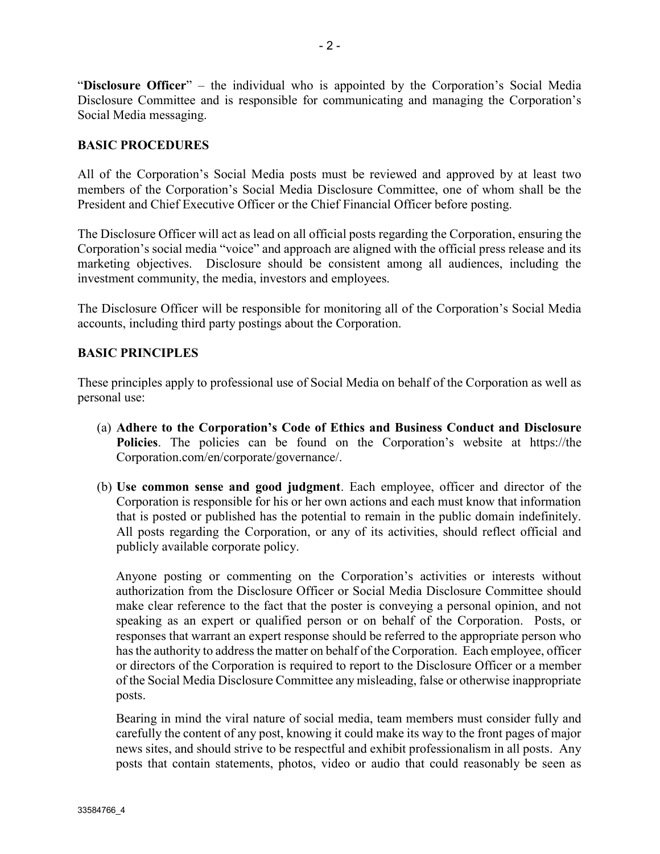"Disclosure Officer" – the individual who is appointed by the Corporation's Social Media Disclosure Committee and is responsible for communicating and managing the Corporation's Social Media messaging.

## BASIC PROCEDURES

All of the Corporation's Social Media posts must be reviewed and approved by at least two members of the Corporation's Social Media Disclosure Committee, one of whom shall be the President and Chief Executive Officer or the Chief Financial Officer before posting.

The Disclosure Officer will act as lead on all official posts regarding the Corporation, ensuring the Corporation's social media "voice" and approach are aligned with the official press release and its marketing objectives. Disclosure should be consistent among all audiences, including the investment community, the media, investors and employees.

The Disclosure Officer will be responsible for monitoring all of the Corporation's Social Media accounts, including third party postings about the Corporation.

#### BASIC PRINCIPLES

These principles apply to professional use of Social Media on behalf of the Corporation as well as personal use:

- (a) Adhere to the Corporation's Code of Ethics and Business Conduct and Disclosure Policies. The policies can be found on the Corporation's website at https://the Corporation.com/en/corporate/governance/.
- (b) Use common sense and good judgment. Each employee, officer and director of the Corporation is responsible for his or her own actions and each must know that information that is posted or published has the potential to remain in the public domain indefinitely. All posts regarding the Corporation, or any of its activities, should reflect official and publicly available corporate policy.

Anyone posting or commenting on the Corporation's activities or interests without authorization from the Disclosure Officer or Social Media Disclosure Committee should make clear reference to the fact that the poster is conveying a personal opinion, and not speaking as an expert or qualified person or on behalf of the Corporation. Posts, or responses that warrant an expert response should be referred to the appropriate person who has the authority to address the matter on behalf of the Corporation. Each employee, officer or directors of the Corporation is required to report to the Disclosure Officer or a member of the Social Media Disclosure Committee any misleading, false or otherwise inappropriate posts.

Bearing in mind the viral nature of social media, team members must consider fully and carefully the content of any post, knowing it could make its way to the front pages of major news sites, and should strive to be respectful and exhibit professionalism in all posts. Any posts that contain statements, photos, video or audio that could reasonably be seen as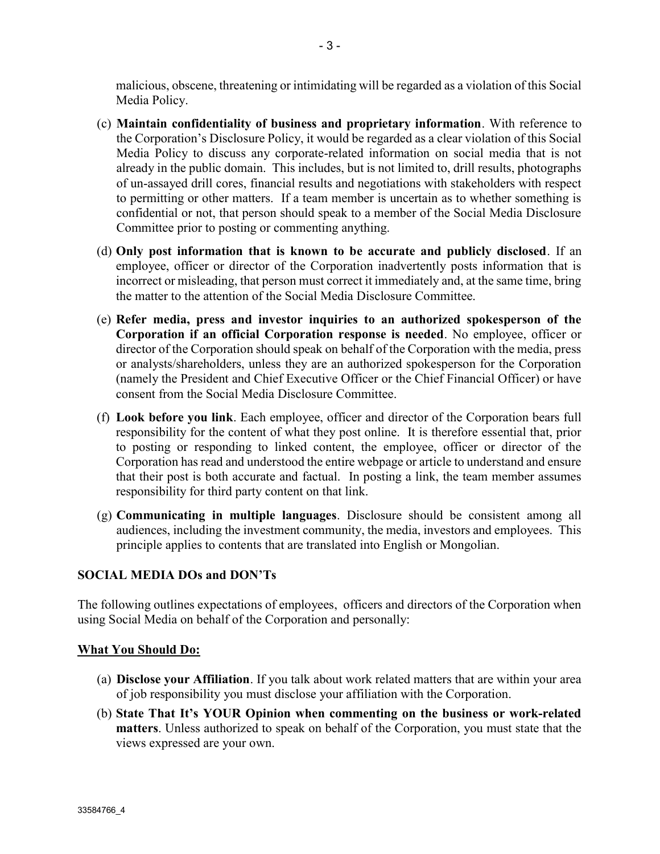malicious, obscene, threatening or intimidating will be regarded as a violation of this Social Media Policy.

- (c) Maintain confidentiality of business and proprietary information. With reference to the Corporation's Disclosure Policy, it would be regarded as a clear violation of this Social Media Policy to discuss any corporate-related information on social media that is not already in the public domain. This includes, but is not limited to, drill results, photographs of un-assayed drill cores, financial results and negotiations with stakeholders with respect to permitting or other matters. If a team member is uncertain as to whether something is confidential or not, that person should speak to a member of the Social Media Disclosure Committee prior to posting or commenting anything.
- (d) Only post information that is known to be accurate and publicly disclosed. If an employee, officer or director of the Corporation inadvertently posts information that is incorrect or misleading, that person must correct it immediately and, at the same time, bring the matter to the attention of the Social Media Disclosure Committee.
- (e) Refer media, press and investor inquiries to an authorized spokesperson of the Corporation if an official Corporation response is needed. No employee, officer or director of the Corporation should speak on behalf of the Corporation with the media, press or analysts/shareholders, unless they are an authorized spokesperson for the Corporation (namely the President and Chief Executive Officer or the Chief Financial Officer) or have consent from the Social Media Disclosure Committee.
- (f) Look before you link. Each employee, officer and director of the Corporation bears full responsibility for the content of what they post online. It is therefore essential that, prior to posting or responding to linked content, the employee, officer or director of the Corporation has read and understood the entire webpage or article to understand and ensure that their post is both accurate and factual. In posting a link, the team member assumes responsibility for third party content on that link.
- (g) Communicating in multiple languages. Disclosure should be consistent among all audiences, including the investment community, the media, investors and employees. This principle applies to contents that are translated into English or Mongolian.

# SOCIAL MEDIA DOs and DON'Ts

The following outlines expectations of employees, officers and directors of the Corporation when using Social Media on behalf of the Corporation and personally:

#### What You Should Do:

- (a) Disclose your Affiliation. If you talk about work related matters that are within your area of job responsibility you must disclose your affiliation with the Corporation.
- (b) State That It's YOUR Opinion when commenting on the business or work-related matters. Unless authorized to speak on behalf of the Corporation, you must state that the views expressed are your own.